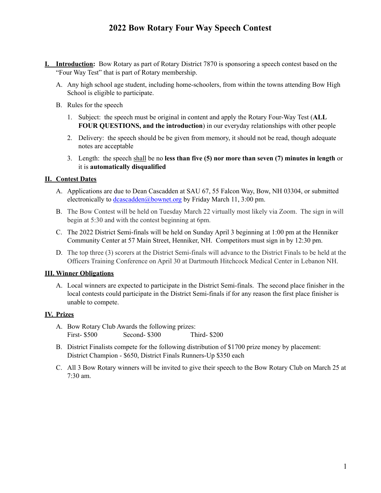- **I. Introduction:** Bow Rotary as part of Rotary District 7870 is sponsoring a speech contest based on the "Four Way Test" that is part of Rotary membership.
	- A. Any high school age student, including home-schoolers, from within the towns attending Bow High School is eligible to participate.
	- B. Rules for the speech
		- 1. Subject: the speech must be original in content and apply the Rotary Four-Way Test (**ALL FOUR QUESTIONS, and the introduction**) in our everyday relationships with other people
		- 2. Delivery: the speech should be be given from memory, it should not be read, though adequate notes are acceptable
		- 3. Length: the speech shall be no **less than five (5) nor more than seven (7) minutes in length** or it is **automatically disqualified**

#### **II. Contest Dates**

- A. Applications are due to Dean Cascadden at SAU 67, 55 Falcon Way, Bow, NH 03304, or submitted electronically to [dcascadden@bownet.org](mailto:dcascadden@bownet.org) by Friday March 11, 3:00 pm.
- B. The Bow Contest will be held on Tuesday March 22 virtually most likely via Zoom. The sign in will begin at 5:30 and with the contest beginning at 6pm.
- C. The 2022 District Semi-finals will be held on Sunday April 3 beginning at 1:00 pm at the Henniker Community Center at 57 Main Street, Henniker, NH. Competitors must sign in by 12:30 pm.
- D. The top three (3) scorers at the District Semi-finals will advance to the District Finals to be held at the Officers Training Conference on April 30 at Dartmouth Hitchcock Medical Center in Lebanon NH.

#### **III. Winner Obligations**

A. Local winners are expected to participate in the District Semi-finals. The second place finisher in the local contests could participate in the District Semi-finals if for any reason the first place finisher is unable to compete.

### **IV. Prizes**

- A. Bow Rotary Club Awards the following prizes: First- \$500 Second- \$300 Third- \$200
- B. District Finalists compete for the following distribution of \$1700 prize money by placement: District Champion - \$650, District Finals Runners-Up \$350 each
- C. All 3 Bow Rotary winners will be invited to give their speech to the Bow Rotary Club on March 25 at 7:30 am.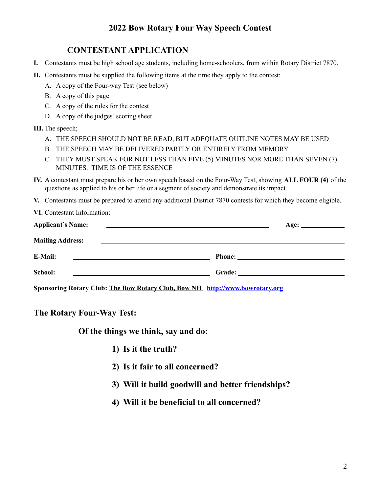## **CONTESTANT APPLICATION**

- **I.** Contestants must be high school age students, including home-schoolers, from within Rotary District 7870.
- **II.** Contestants must be supplied the following items at the time they apply to the contest:
	- A. A copy of the Four-way Test (see below)
	- B. A copy of this page
	- C. A copy of the rules for the contest
	- D. A copy of the judges' scoring sheet

### **III.** The speech;

- A. THE SPEECH SHOULD NOT BE READ, BUT ADEQUATE OUTLINE NOTES MAY BE USED
- B. THE SPEECH MAY BE DELIVERED PARTLY OR ENTIRELY FROM MEMORY
- C. THEY MUST SPEAK FOR NOT LESS THAN FIVE (5) MINUTES NOR MORE THAN SEVEN (7) MINUTES. TIME IS OF THE ESSENCE
- **IV.** A contestant must prepare his or her own speech based on the Four-Way Test, showing **ALL FOUR (4)** of the questions as applied to his or her life or a segment of society and demonstrate its impact.
- **V.** Contestants must be prepared to attend any additional District 7870 contests for which they become eligible.
- **VI.** Contestant Information:

| <b>Applicant's Name:</b>                                                                                                         | and the contract of the contract of the contract of the contract of the contract of the contract of the contract of |
|----------------------------------------------------------------------------------------------------------------------------------|---------------------------------------------------------------------------------------------------------------------|
| <b>Mailing Address:</b>                                                                                                          |                                                                                                                     |
| E-Mail:<br><u> 1989 - Johann Barn, amerikansk politiker (</u> † 1908)                                                            |                                                                                                                     |
| School:<br><u> 1989 - Johann Barbara, martin amerikan basal dan berasal dalam basal dalam basal dalam basal dalam basal dala</u> | Grade: $\qquad \qquad$                                                                                              |
|                                                                                                                                  | Sponsoring Rotary Club: The Bow Rotary Club, Bow NH http://www.bowrotary.org                                        |

**The Rotary Four-Way Test:**

**Of the things we think, say and do:**

- **1) Is it the truth?**
- **2) Is it fair to all concerned?**
- **3) Will it build goodwill and better friendships?**
- **4) Will it be beneficial to all concerned?**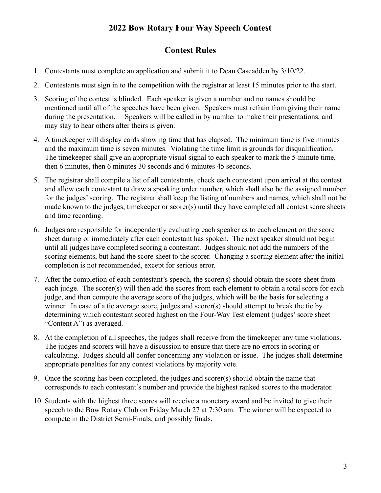## **Contest Rules**

- 1. Contestants must complete an application and submit it to Dean Cascadden by 3/10/22.
- 2. Contestants must sign in to the competition with the registrar at least 15 minutes prior to the start.
- 3. Scoring of the contest is blinded. Each speaker is given a number and no names should be mentioned until all of the speeches have been given. Speakers must refrain from giving their name during the presentation. Speakers will be called in by number to make their presentations, and may stay to hear others after theirs is given.
- 4. A timekeeper will display cards showing time that has elapsed. The minimum time is five minutes and the maximum time is seven minutes. Violating the time limit is grounds for disqualification. The timekeeper shall give an appropriate visual signal to each speaker to mark the 5-minute time, then 6 minutes, then 6 minutes 30 seconds and 6 minutes 45 seconds.
- 5. The registrar shall compile a list of all contestants, check each contestant upon arrival at the contest and allow each contestant to draw a speaking order number, which shall also be the assigned number for the judges' scoring. The registrar shall keep the listing of numbers and names, which shall not be made known to the judges, timekeeper or scorer(s) until they have completed all contest score sheets and time recording.
- 6. Judges are responsible for independently evaluating each speaker as to each element on the score sheet during or immediately after each contestant has spoken. The next speaker should not begin until all judges have completed scoring a contestant. Judges should not add the numbers of the scoring elements, but hand the score sheet to the scorer. Changing a scoring element after the initial completion is not recommended, except for serious error.
- 7. After the completion of each contestant's speech, the scorer(s) should obtain the score sheet from each judge. The scorer(s) will then add the scores from each element to obtain a total score for each judge, and then compute the average score of the judges, which will be the basis for selecting a winner. In case of a tie average score, judges and scorer(s) should attempt to break the tie by determining which contestant scored highest on the Four-Way Test element (judges' score sheet "Content A") as averaged.
- 8. At the completion of all speeches, the judges shall receive from the timekeeper any time violations. The judges and scorers will have a discussion to ensure that there are no errors in scoring or calculating. Judges should all confer concerning any violation or issue. The judges shall determine appropriate penalties for any contest violations by majority vote.
- 9. Once the scoring has been completed, the judges and scorer(s) should obtain the name that corresponds to each contestant's number and provide the highest ranked scores to the moderator.
- 10. Students with the highest three scores will receive a monetary award and be invited to give their speech to the Bow Rotary Club on Friday March 27 at 7:30 am. The winner will be expected to compete in the District Semi-Finals, and possibly finals.